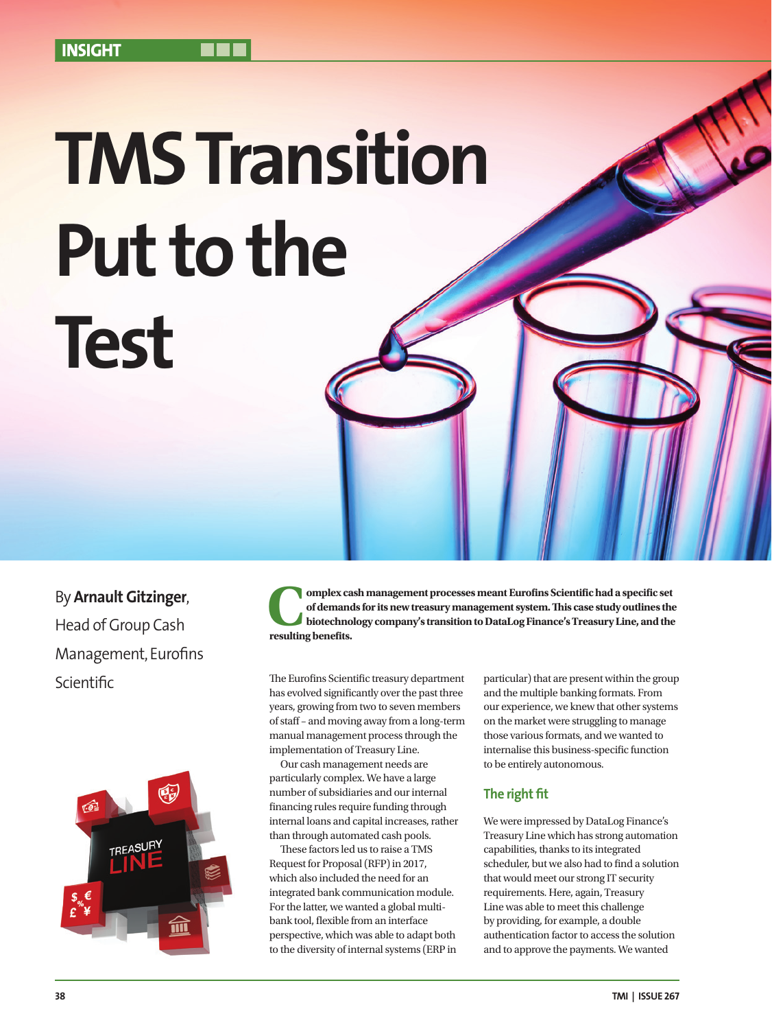# **TMS Transition Put to the Test**

By **Arnault Gitzinger**, Head of Group Cash Management, Eurofins Scientific



**Complex cash management processes meant Eurofins Scientific had a specific set of demands for its new treasury management system. This case study outlines the biotechnology company's transition to DataLog Finance's Treasu** of demands for its new treasury management system. This case study outlines the **biotechnology company's transition to DataLog Finance's Treasury Line, and the**  resulting benefits.

The Eurofins Scientific treasury department has evolved significantly over the past three years, growing from two to seven members of staff – and moving away from a long-term manual management process through the implementation of Treasury Line.

Our cash management needs are particularly complex. We have a large number of subsidiaries and our internal financing rules require funding through internal loans and capital increases, rather than through automated cash pools.

These factors led us to raise a TMS Request for Proposal (RFP) in 2017, which also included the need for an integrated bank communication module. For the latter, we wanted a global multibank tool, flexible from an interface perspective, which was able to adapt both to the diversity of internal systems (ERP in particular) that are present within the group and the multiple banking formats. From our experience, we knew that other systems on the market were struggling to manage those various formats, and we wanted to internalise this business-specific function to be entirely autonomous.

## **The right fit**

We were impressed by DataLog Finance's Treasury Line which has strong automation capabilities, thanks to its integrated scheduler, but we also had to find a solution that would meet our strong IT security requirements. Here, again, Treasury Line was able to meet this challenge by providing, for example, a double authentication factor to access the solution and to approve the payments. We wanted